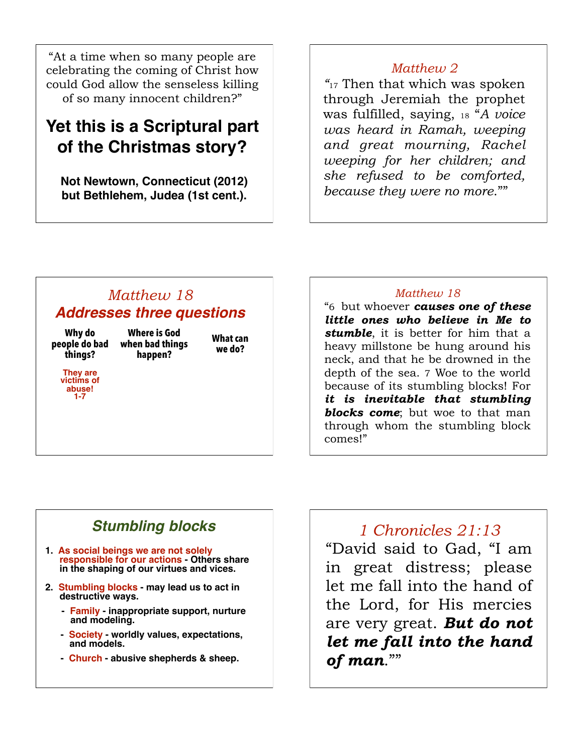"At a time when so many people are celebrating the coming of Christ how could God allow the senseless killing of so many innocent children?"

# **Yet this is a Scriptural part of the Christmas story?**

**Not Newtown, Connecticut (2012) but Bethlehem, Judea (1st cent.).**

## *Matthew 2*

*"*17 Then that which was spoken through Jeremiah the prophet was fulfilled, saying, 18 "*A voice was heard in Ramah, weeping and great mourning, Rachel weeping for her children; and she refused to be comforted, because they were no more*.""

# *Matthew 18 Addresses three questions*

**Why do people do bad things?**

**Where is God when bad things** 

**They are victims of abuse! 1-7**

**happen?**

**What can we do?**

### *Matthew 18*

"6 but whoever *causes one of these little ones who believe in Me to stumble*, it is better for him that a heavy millstone be hung around his neck, and that he be drowned in the depth of the sea. 7 Woe to the world because of its stumbling blocks! For *it is inevitable that stumbling blocks come*; but woe to that man through whom the stumbling block comes!"

# *Stumbling blocks*

- **1. As social beings we are not solely responsible for our actions - Others share in the shaping of our virtues and vices.**
- **2. Stumbling blocks may lead us to act in destructive ways.**
	- **Family inappropriate support, nurture and modeling.**
	- **Society worldly values, expectations, and models.**
	- **Church abusive shepherds & sheep.**

*1 Chronicles 21:13* "David said to Gad, "I am in great distress; please let me fall into the hand of the Lord, for His mercies are very great. *But do not let me fall into the hand of man*.""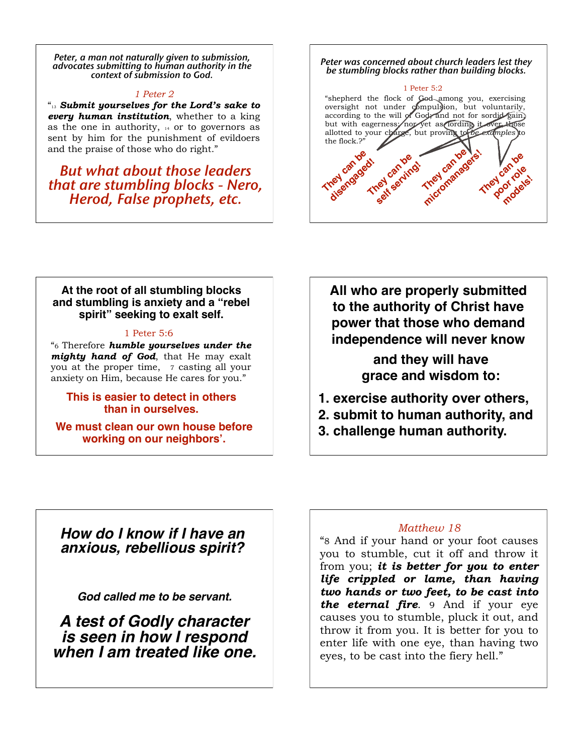*Peter, a man not naturally given to submission, advocates submitting to human authority in the context of submission to God.*

#### *1 Peter 2*

"13 *Submit yourselves for the Lord's sake to every human institution*, whether to a king as the one in authority, 14 or to governors as sent by him for the punishment of evildoers and the praise of those who do right."

*But what about those leaders that are stumbling blocks - Nero,*  $H$  and  $\frac{1}{2}$  and  $\frac{1}{2}$  and  $\frac{1}{2}$  and  $\frac{1}{2}$  and  $\frac{1}{2}$  and  $\frac{1}{2}$  and  $\frac{1}{2}$  and  $\frac{1}{2}$  and  $\frac{1}{2}$  and  $\frac{1}{2}$  and  $\frac{1}{2}$  and  $\frac{1}{2}$  and  $\frac{1}{2}$ 

#### *Peter was concerned about church leaders lest they be stumbling blocks rather than building blocks.*



### **At the root of all stumbling blocks and stumbling is anxiety and a "rebel spirit" seeking to exalt self.**

#### 1 Peter 5:6

"6 Therefore *humble yourselves under the mighty hand of God*, that He may exalt you at the proper time, 7 casting all your anxiety on Him, because He cares for you."

### **This is easier to detect in others than in ourselves.**

**We must clean our own house before working on our neighbors'.**

**All who are properly submitted to the authority of Christ have power that those who demand independence will never know** 

> **and they will have grace and wisdom to:**

- **1. exercise authority over others,**
- **2. submit to human authority, and**
- **3. challenge human authority.**

## *How do I know if I have an anxious, rebellious spirit?*

*God called me to be servant.*

*A test of Godly character is seen in how I respond when I am treated like one.*

### *Matthew 18*

"8 And if your hand or your foot causes you to stumble, cut it off and throw it from you; *it is better for you to enter life crippled or lame, than having two hands or two feet, to be cast into the eternal fire*. 9 And if your eye causes you to stumble, pluck it out, and throw it from you. It is better for you to enter life with one eye, than having two eyes, to be cast into the fiery hell."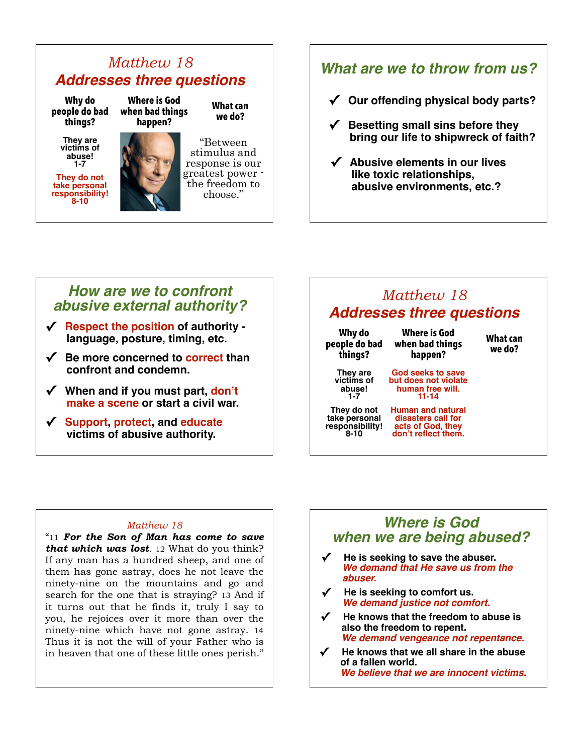## *Matthew 18 Addresses three questions*

**Where is God when bad things** 

**Why do people do bad things?**

> **They are victims of abuse! 1-7**

**They do not take personal responsibility! 8-10**



**What can we do?**

"Between stimulus and response is our greatest power the freedom to choose."

## *What are we to throw from us?*

- **✓ Our offending physical body parts?**
- **✓ Besetting small sins before they bring our life to shipwreck of faith?**
- **✓ Abusive elements in our lives like toxic relationships, abusive environments, etc.?**

## *How are we to confront abusive external authority?*

- **✓ Respect the position of authority language, posture, timing, etc.**
- **✓ Be more concerned to correct than confront and condemn.**
- **✓ When and if you must part, don't make a scene or start a civil war.**
- **✓ Support, protect, and educate victims of abusive authority.**

# *Matthew 18 Addresses three questions*

| Why do<br>people do bad<br>things?                          | <b>Where is God</b><br>when bad things<br>happen?                                          | What can<br>we do? |
|-------------------------------------------------------------|--------------------------------------------------------------------------------------------|--------------------|
| They are<br>victims of<br>abuse!<br>$1 - 7$                 | God seeks to save<br>but does not violate<br>human free will.<br>11-14                     |                    |
| They do not<br>take personal<br>responsibility!<br>$8 - 10$ | <b>Human and natural</b><br>disasters call for<br>acts of God, they<br>don't reflect them. |                    |

### *Matthew 18*

"11 *For the Son of Man has come to save that which was lost*. 12 What do you think? If any man has a hundred sheep, and one of them has gone astray, does he not leave the ninety-nine on the mountains and go and search for the one that is straying? 13 And if it turns out that he finds it, truly I say to you, he rejoices over it more than over the ninety-nine which have not gone astray. 14 Thus it is not the will of your Father who is in heaven that one of these little ones perish."

## *Where is God when we are being abused?*

- **✓ He is seeking to save the abuser.**  *We demand that He save us from the abuser.*
- **✓ He is seeking to comfort us.**  *We demand justice not comfort.*
- **✓ He knows that the freedom to abuse is also the freedom to repent.** *We demand vengeance not repentance.*
- **✓ He knows that we all share in the abuse of a fallen world.** *We believe that we are innocent victims.*